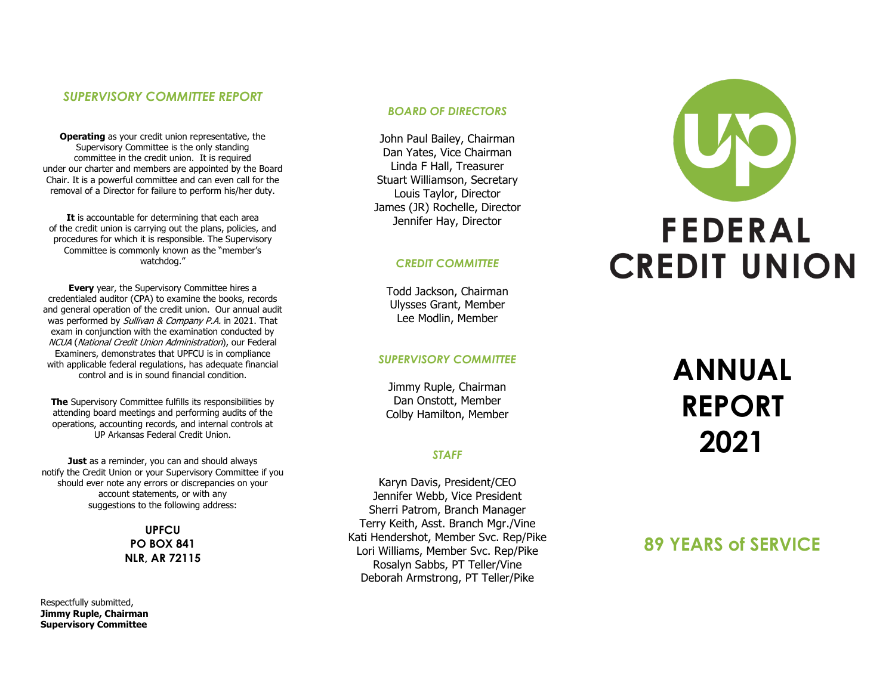## *SUPERVISORY COMMITTEE REPORT*

**Operating** as your credit union representative, the Supervisory Committee is the only standing committee in the credit union. It is required under our charter and members are appointed by the Board Chair. It is a powerful committee and can even call for the removal of a Director for failure to perform his/her duty.

**It** is accountable for determining that each area of the credit union is carrying out the plans, policies, and procedures for which it is responsible. The Supervisory Committee is commonly known as the "member's watchdog."

**Every** year, the Supervisory Committee hires a credentialed auditor (CPA) to examine the books, records and general operation of the credit union. Our annual audit was performed by Sullivan & Company P.A. in 2021. That exam in conjunction with the examination conducted by NCUA (National Credit Union Administration), our Federal Examiners, demonstrates that UPFCU is in compliance with applicable federal regulations, has adequate financial control and is in sound financial condition.

**The** Supervisory Committee fulfills its responsibilities by attending board meetings and performing audits of the operations, accounting records, and internal controls at UP Arkansas Federal Credit Union.

**Just** as a reminder, you can and should always notify the Credit Union or your Supervisory Committee if you should ever note any errors or discrepancies on your account statements, or with any suggestions to the following address:

> **UPFCU PO BOX 841 NLR, AR 72115**

Respectfully submitted, **Jimmy Ruple, Chairman Supervisory Committee**

## *BOARD OF DIRECTORS*

John Paul Bailey, Chairman Dan Yates, Vice Chairman Linda F Hall, Treasurer Stuart Williamson, Secretary Louis Taylor, Director James (JR) Rochelle, Director Jennifer Hay, Director

## *CREDIT COMMITTEE*

Todd Jackson, Chairman Ulysses Grant, Member Lee Modlin, Member

## *SUPERVISORY COMMITTEE*

Jimmy Ruple, Chairman Dan Onstott, Member Colby Hamilton, Member

## *STAFF*

Karyn Davis, President/CEO Jennifer Webb, Vice President Sherri Patrom, Branch Manager Terry Keith, Asst. Branch Mgr./Vine Kati Hendershot, Member Svc. Rep/Pike Lori Williams, Member Svc. Rep/Pike Rosalyn Sabbs, PT Teller/Vine Deborah Armstrong, PT Teller/Pike



# **ANNUAL REPORT 2021**

## **89 YEARS of SERVICE**